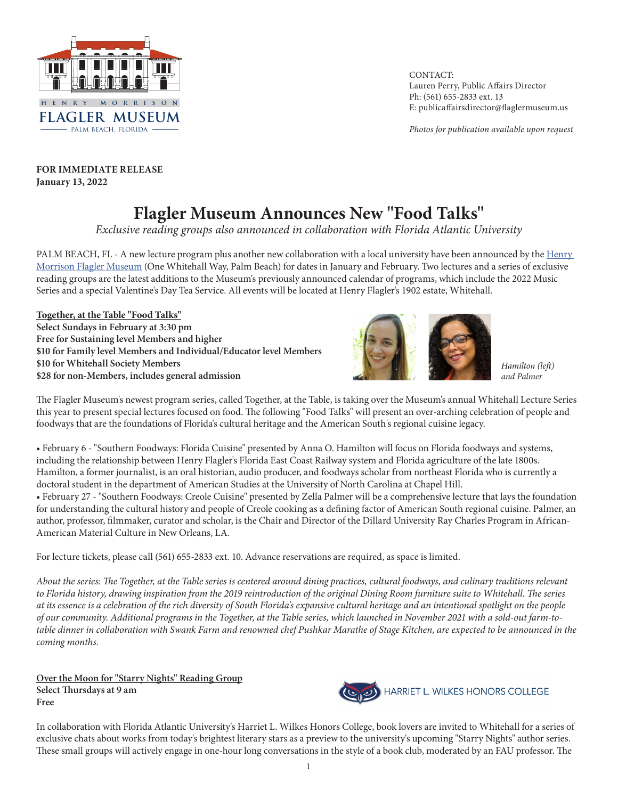

CONTACT: Lauren Perry, Public Affairs Director Ph: (561) 655-2833 ext. 13 E: publicaffairsdirector@flaglermuseum.us

*Photos for publication available upon request*

**FOR IMMEDIATE RELEASE January 13, 2022**

## **Flagler Museum Announces New "Food Talks"**

*Exclusive reading groups also announced in collaboration with Florida Atlantic University* 

PALM BEACH, FL - A new lecture program plus another new collaboration with a local university have been announced by the Henry [Morrison Flagler Museum](http://www.flaglermuseum.us) (One Whitehall Way, Palm Beach) for dates in January and February. Two lectures and a series of exclusive reading groups are the latest additions to the Museum's previously announced calendar of programs, which include the 2022 Music Series and a special Valentine's Day Tea Service. All events will be located at Henry Flagler's 1902 estate, Whitehall.

**Together, at the Table "Food Talks" Select Sundays in February at 3:30 pm Free for Sustaining level Members and higher \$10 for Family level Members and Individual/Educator level Members \$10 for Whitehall Society Members \$28 for non-Members, includes general admission**



*Hamilton (left) and Palmer*

The Flagler Museum's newest program series, called Together, at the Table, is taking over the Museum's annual Whitehall Lecture Series this year to present special lectures focused on food. The following "Food Talks" will present an over-arching celebration of people and foodways that are the foundations of Florida's cultural heritage and the American South's regional cuisine legacy.

• February 6 - "Southern Foodways: Florida Cuisine" presented by Anna O. Hamilton will focus on Florida foodways and systems, including the relationship between Henry Flagler's Florida East Coast Railway system and Florida agriculture of the late 1800s. Hamilton, a former journalist, is an oral historian, audio producer, and foodways scholar from northeast Florida who is currently a doctoral student in the department of American Studies at the University of North Carolina at Chapel Hill.

• February 27 - "Southern Foodways: Creole Cuisine" presented by Zella Palmer will be a comprehensive lecture that lays the foundation for understanding the cultural history and people of Creole cooking as a defining factor of American South regional cuisine. Palmer, an author, professor, filmmaker, curator and scholar, is the Chair and Director of the Dillard University Ray Charles Program in African-American Material Culture in New Orleans, LA.

For lecture tickets, please call (561) 655-2833 ext. 10. Advance reservations are required, as space is limited.

*About the series: The Together, at the Table series is centered around dining practices, cultural foodways, and culinary traditions relevant to Florida history, drawing inspiration from the 2019 reintroduction of the original Dining Room furniture suite to Whitehall. The series at its essence is a celebration of the rich diversity of South Florida's expansive cultural heritage and an intentional spotlight on the people of our community. Additional programs in the Together, at the Table series, which launched in November 2021 with a sold-out farm-totable dinner in collaboration with Swank Farm and renowned chef Pushkar Marathe of Stage Kitchen, are expected to be announced in the coming months.*

**Over the Moon for "Starry Nights" Reading Group Select Thursdays at 9 am Free**



In collaboration with Florida Atlantic University's Harriet L. Wilkes Honors College, book lovers are invited to Whitehall for a series of exclusive chats about works from today's brightest literary stars as a preview to the university's upcoming "Starry Nights" author series. These small groups will actively engage in one-hour long conversations in the style of a book club, moderated by an FAU professor. The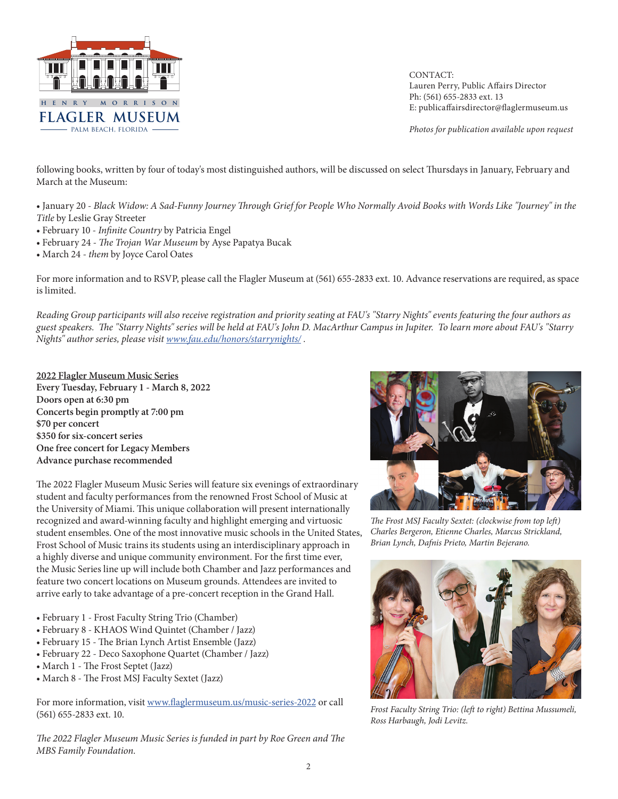

CONTACT: Lauren Perry, Public Affairs Director Ph: (561) 655-2833 ext. 13 E: publicaffairsdirector@flaglermuseum.us

*Photos for publication available upon request*

following books, written by four of today's most distinguished authors, will be discussed on select Thursdays in January, February and March at the Museum:

• January 20 - *Black Widow: A Sad-Funny Journey Through Grief for People Who Normally Avoid Books with Words Like "Journey" in the Title* by Leslie Gray Streeter

- February 10 *Infinite Country* by Patricia Engel
- February 24 *The Trojan War Museum* by Ayse Papatya Bucak
- March 24 *them* by Joyce Carol Oates

For more information and to RSVP, please call the Flagler Museum at (561) 655-2833 ext. 10. Advance reservations are required, as space is limited.

*Reading Group participants will also receive registration and priority seating at FAU's "Starry Nights" events featuring the four authors as guest speakers. The "Starry Nights" series will be held at FAU's John D. MacArthur Campus in Jupiter. To learn more about FAU's "Starry Nights" author series, please visit [www.fau.edu/honors/starrynights/](http://www.fau.edu/honors/starrynights/) .*

**2022 Flagler Museum Music Series Every Tuesday, February 1 - March 8, 2022 Doors open at 6:30 pm Concerts begin promptly at 7:00 pm \$70 per concert \$350 for six-concert series One free concert for Legacy Members Advance purchase recommended**

The 2022 Flagler Museum Music Series will feature six evenings of extraordinary student and faculty performances from the renowned Frost School of Music at the University of Miami. This unique collaboration will present internationally recognized and award-winning faculty and highlight emerging and virtuosic student ensembles. One of the most innovative music schools in the United States, Frost School of Music trains its students using an interdisciplinary approach in a highly diverse and unique community environment. For the first time ever, the Music Series line up will include both Chamber and Jazz performances and feature two concert locations on Museum grounds. Attendees are invited to arrive early to take advantage of a pre-concert reception in the Grand Hall.

- February 1 Frost Faculty String Trio (Chamber)
- February 8 KHAOS Wind Quintet (Chamber / Jazz)
- February 15 The Brian Lynch Artist Ensemble (Jazz)
- February 22 Deco Saxophone Quartet (Chamber / Jazz)
- March 1 The Frost Septet (Jazz)
- March 8 The Frost MSJ Faculty Sextet (Jazz)

For more information, visit [www.flaglermuseum.us/music-series-2022](http://www.flaglermuseum.us/music-series-2022) or call (561) 655-2833 ext. 10.

*The 2022 Flagler Museum Music Series is funded in part by Roe Green and The MBS Family Foundation.*



*The Frost MSJ Faculty Sextet: (clockwise from top left) Charles Bergeron, Etienne Charles, Marcus Strickland, Brian Lynch, Dafnis Prieto, Martin Bejerano.*



*Frost Faculty String Trio: (left to right) Bettina Mussumeli, Ross Harbaugh, Jodi Levitz.*